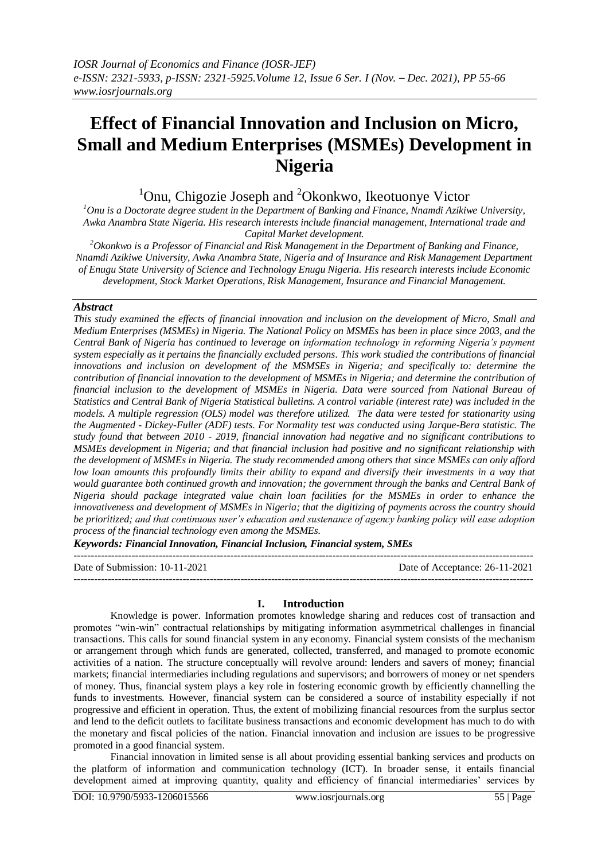# **Effect of Financial Innovation and Inclusion on Micro, Small and Medium Enterprises (MSMEs) Development in Nigeria**

<sup>1</sup>Onu, Chigozie Joseph and <sup>2</sup>Okonkwo, Ikeotuonye Victor

*<sup>1</sup>Onu is a Doctorate degree student in the Department of Banking and Finance, Nnamdi Azikiwe University, Awka Anambra State Nigeria. His research interests include financial management, International trade and Capital Market development.*

*<sup>2</sup>Okonkwo is a Professor of Financial and Risk Management in the Department of Banking and Finance, Nnamdi Azikiwe University, Awka Anambra State, Nigeria and of Insurance and Risk Management Department of Enugu State University of Science and Technology Enugu Nigeria. His research interests include Economic development, Stock Market Operations, Risk Management, Insurance and Financial Management.*

## *Abstract*

*This study examined the effects of financial innovation and inclusion on the development of Micro, Small and Medium Enterprises (MSMEs) in Nigeria. The National Policy on MSMEs has been in place since 2003, and the Central Bank of Nigeria has continued to leverage on information technology in reforming Nigeria's payment system especially as it pertains the financially excluded persons. This work studied the contributions of financial innovations and inclusion on development of the MSMSEs in Nigeria; and specifically to: determine the contribution of financial innovation to the development of MSMEs in Nigeria; and determine the contribution of financial inclusion to the development of MSMEs in Nigeria. Data were sourced from National Bureau of Statistics and Central Bank of Nigeria Statistical bulletins. A control variable (interest rate) was included in the models. A multiple regression (OLS) model was therefore utilized. The data were tested for stationarity using the Augmented - Dickey-Fuller (ADF) tests. For Normality test was conducted using Jarque-Bera statistic. The study found that between 2010 - 2019, financial innovation had negative and no significant contributions to MSMEs development in Nigeria; and that financial inclusion had positive and no significant relationship with the development of MSMEs in Nigeria. The study recommended among others that since MSMEs can only afford low loan amounts this profoundly limits their ability to expand and diversify their investments in a way that would guarantee both continued growth and innovation; the government through the banks and Central Bank of Nigeria should package integrated value chain loan facilities for the MSMEs in order to enhance the innovativeness and development of MSMEs in Nigeria; that the digitizing of payments across the country should be prioritized; and that continuous user's education and sustenance of agency banking policy will ease adoption process of the financial technology even among the MSMEs.* 

*Keywords: Financial Innovation, Financial Inclusion, Financial system, SMEs*

--------------------------------------------------------------------------------------------------------------------------------------- Date of Submission: 10-11-2021 Date of Acceptance: 26-11-2021 ---------------------------------------------------------------------------------------------------------------------------------------

## **I. Introduction**

Knowledge is power. Information promotes knowledge sharing and reduces cost of transaction and promotes "win-win" contractual relationships by mitigating information asymmetrical challenges in financial transactions. This calls for sound financial system in any economy. Financial system consists of the mechanism or arrangement through which funds are generated, collected, transferred, and managed to promote economic activities of a nation. The structure conceptually will revolve around: lenders and savers of money; financial markets; financial intermediaries including regulations and supervisors; and borrowers of money or net spenders of money. Thus, financial system plays a key role in fostering economic growth by efficiently channelling the funds to investments. However, financial system can be considered a source of instability especially if not progressive and efficient in operation. Thus, the extent of mobilizing financial resources from the surplus sector and lend to the deficit outlets to facilitate business transactions and economic development has much to do with the monetary and fiscal policies of the nation. Financial innovation and inclusion are issues to be progressive promoted in a good financial system.

Financial innovation in limited sense is all about providing essential banking services and products on the platform of information and communication technology (ICT). In broader sense, it entails financial development aimed at improving quantity, quality and efficiency of financial intermediaries' services by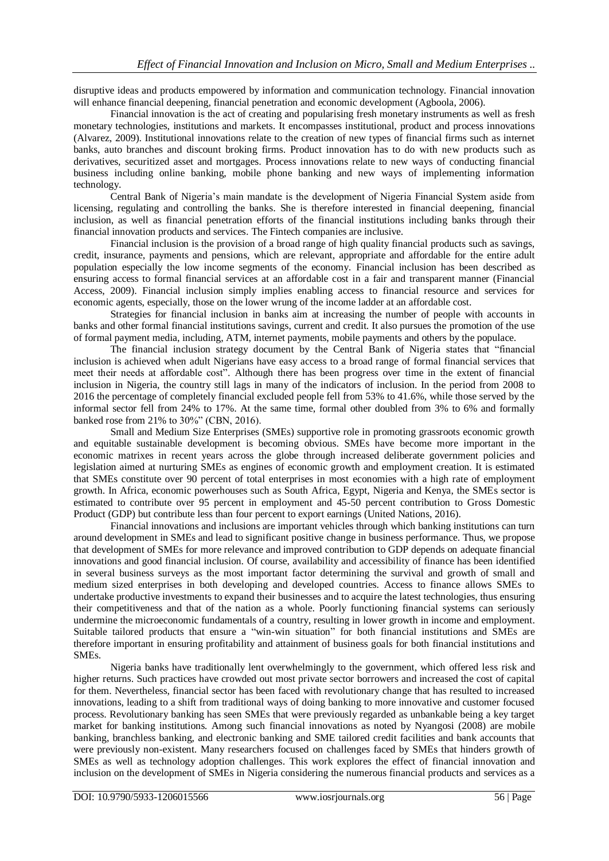disruptive ideas and products empowered by information and communication technology. Financial innovation will enhance financial deepening, financial penetration and economic development (Agboola, 2006).

Financial innovation is the act of creating and popularising fresh monetary instruments as well as fresh monetary technologies, institutions and markets. It encompasses institutional, product and process innovations (Alvarez, 2009). Institutional innovations relate to the creation of new types of financial firms such as internet banks, auto branches and discount broking firms. Product innovation has to do with new products such as derivatives, securitized asset and mortgages. Process innovations relate to new ways of conducting financial business including online banking, mobile phone banking and new ways of implementing information technology.

Central Bank of Nigeria's main mandate is the development of Nigeria Financial System aside from licensing, regulating and controlling the banks. She is therefore interested in financial deepening, financial inclusion, as well as financial penetration efforts of the financial institutions including banks through their financial innovation products and services. The Fintech companies are inclusive.

Financial inclusion is the provision of a broad range of high quality financial products such as savings, credit, insurance, payments and pensions, which are relevant, appropriate and affordable for the entire adult population especially the low income segments of the economy. Financial inclusion has been described as ensuring access to formal financial services at an affordable cost in a fair and transparent manner (Financial Access, 2009). Financial inclusion simply implies enabling access to financial resource and services for economic agents, especially, those on the lower wrung of the income ladder at an affordable cost.

Strategies for financial inclusion in banks aim at increasing the number of people with accounts in banks and other formal financial institutions savings, current and credit. It also pursues the promotion of the use of formal payment media, including, ATM, internet payments, mobile payments and others by the populace.

The financial inclusion strategy document by the Central Bank of Nigeria states that "financial inclusion is achieved when adult Nigerians have easy access to a broad range of formal financial services that meet their needs at affordable cost". Although there has been progress over time in the extent of financial inclusion in Nigeria, the country still lags in many of the indicators of inclusion. In the period from 2008 to 2016 the percentage of completely financial excluded people fell from 53% to 41.6%, while those served by the informal sector fell from 24% to 17%. At the same time, formal other doubled from 3% to 6% and formally banked rose from 21% to 30%" (CBN, 2016).

Small and Medium Size Enterprises (SMEs) supportive role in promoting grassroots economic growth and equitable sustainable development is becoming obvious. SMEs have become more important in the economic matrixes in recent years across the globe through increased deliberate government policies and legislation aimed at nurturing SMEs as engines of economic growth and employment creation. It is estimated that SMEs constitute over 90 percent of total enterprises in most economies with a high rate of employment growth. In Africa, economic powerhouses such as South Africa, Egypt, Nigeria and Kenya, the SMEs sector is estimated to contribute over 95 percent in employment and 45-50 percent contribution to Gross Domestic Product (GDP) but contribute less than four percent to export earnings (United Nations, 2016).

Financial innovations and inclusions are important vehicles through which banking institutions can turn around development in SMEs and lead to significant positive change in business performance. Thus, we propose that development of SMEs for more relevance and improved contribution to GDP depends on adequate financial innovations and good financial inclusion. Of course, availability and accessibility of finance has been identified in several business surveys as the most important factor determining the survival and growth of small and medium sized enterprises in both developing and developed countries. Access to finance allows SMEs to undertake productive investments to expand their businesses and to acquire the latest technologies, thus ensuring their competitiveness and that of the nation as a whole. Poorly functioning financial systems can seriously undermine the microeconomic fundamentals of a country, resulting in lower growth in income and employment. Suitable tailored products that ensure a "win-win situation" for both financial institutions and SMEs are therefore important in ensuring profitability and attainment of business goals for both financial institutions and SMEs.

Nigeria banks have traditionally lent overwhelmingly to the government, which offered less risk and higher returns. Such practices have crowded out most private sector borrowers and increased the cost of capital for them. Nevertheless, financial sector has been faced with revolutionary change that has resulted to increased innovations, leading to a shift from traditional ways of doing banking to more innovative and customer focused process. Revolutionary banking has seen SMEs that were previously regarded as unbankable being a key target market for banking institutions. Among such financial innovations as noted by Nyangosi (2008) are mobile banking, branchless banking, and electronic banking and SME tailored credit facilities and bank accounts that were previously non-existent. Many researchers focused on challenges faced by SMEs that hinders growth of SMEs as well as technology adoption challenges. This work explores the effect of financial innovation and inclusion on the development of SMEs in Nigeria considering the numerous financial products and services as a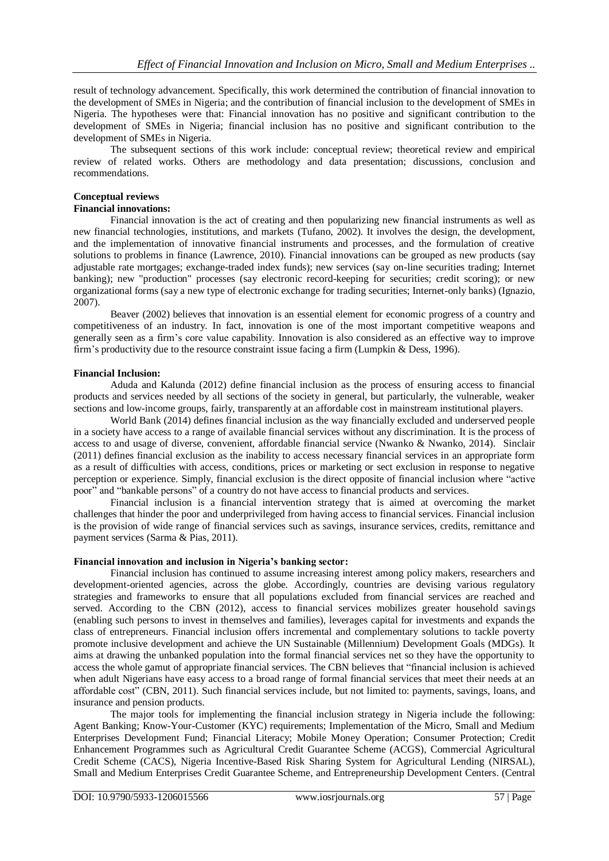result of technology advancement. Specifically, this work determined the contribution of financial innovation to the development of SMEs in Nigeria; and the contribution of financial inclusion to the development of SMEs in Nigeria. The hypotheses were that: Financial innovation has no positive and significant contribution to the development of SMEs in Nigeria; financial inclusion has no positive and significant contribution to the development of SMEs in Nigeria.

The subsequent sections of this work include: conceptual review; theoretical review and empirical review of related works. Others are methodology and data presentation; discussions, conclusion and recommendations.

## **Conceptual reviews**

## **Financial innovations:**

Financial innovation is the act of creating and then popularizing new financial instruments as well as new financial technologies, institutions, and markets (Tufano, 2002). It involves the design, the development, and the implementation of innovative financial instruments and processes, and the formulation of creative solutions to problems in finance (Lawrence, 2010). Financial innovations can be grouped as new products (say adjustable rate mortgages; exchange-traded index funds); new services (say on-line securities trading; Internet banking); new "production" processes (say electronic record-keeping for securities; credit scoring); or new organizational forms (say a new type of electronic exchange for trading securities; Internet-only banks) (Ignazio, 2007).

Beaver (2002) believes that innovation is an essential element for economic progress of a country and competitiveness of an industry. In fact, innovation is one of the most important competitive weapons and generally seen as a firm's core value capability. Innovation is also considered as an effective way to improve firm's productivity due to the resource constraint issue facing a firm (Lumpkin & Dess, 1996).

## **Financial Inclusion:**

Aduda and Kalunda (2012) define financial inclusion as the process of ensuring access to financial products and services needed by all sections of the society in general, but particularly, the vulnerable, weaker sections and low-income groups, fairly, transparently at an affordable cost in mainstream institutional players.

World Bank (2014) defines financial inclusion as the way financially excluded and underserved people in a society have access to a range of available financial services without any discrimination. It is the process of access to and usage of diverse, convenient, affordable financial service (Nwanko & Nwanko, 2014). Sinclair (2011) defines financial exclusion as the inability to access necessary financial services in an appropriate form as a result of difficulties with access, conditions, prices or marketing or sect exclusion in response to negative perception or experience. Simply, financial exclusion is the direct opposite of financial inclusion where "active poor" and "bankable persons" of a country do not have access to financial products and services.

Financial inclusion is a financial intervention strategy that is aimed at overcoming the market challenges that hinder the poor and underprivileged from having access to financial services. Financial inclusion is the provision of wide range of financial services such as savings, insurance services, credits, remittance and payment services (Sarma & Pias, 2011).

## **Financial innovation and inclusion in Nigeria's banking sector:**

Financial inclusion has continued to assume increasing interest among policy makers, researchers and development-oriented agencies, across the globe. Accordingly, countries are devising various regulatory strategies and frameworks to ensure that all populations excluded from financial services are reached and served. According to the CBN (2012), access to financial services mobilizes greater household savings (enabling such persons to invest in themselves and families), leverages capital for investments and expands the class of entrepreneurs. Financial inclusion offers incremental and complementary solutions to tackle poverty promote inclusive development and achieve the UN Sustainable (Millennium) Development Goals (MDGs). It aims at drawing the unbanked population into the formal financial services net so they have the opportunity to access the whole gamut of appropriate financial services. The CBN believes that "financial inclusion is achieved when adult Nigerians have easy access to a broad range of formal financial services that meet their needs at an affordable cost" (CBN, 2011). Such financial services include, but not limited to: payments, savings, loans, and insurance and pension products.

The major tools for implementing the financial inclusion strategy in Nigeria include the following: Agent Banking; Know-Your-Customer (KYC) requirements; Implementation of the Micro, Small and Medium Enterprises Development Fund; Financial Literacy; Mobile Money Operation; Consumer Protection; Credit Enhancement Programmes such as Agricultural Credit Guarantee Scheme (ACGS), Commercial Agricultural Credit Scheme (CACS), Nigeria Incentive-Based Risk Sharing System for Agricultural Lending (NIRSAL), Small and Medium Enterprises Credit Guarantee Scheme, and Entrepreneurship Development Centers. (Central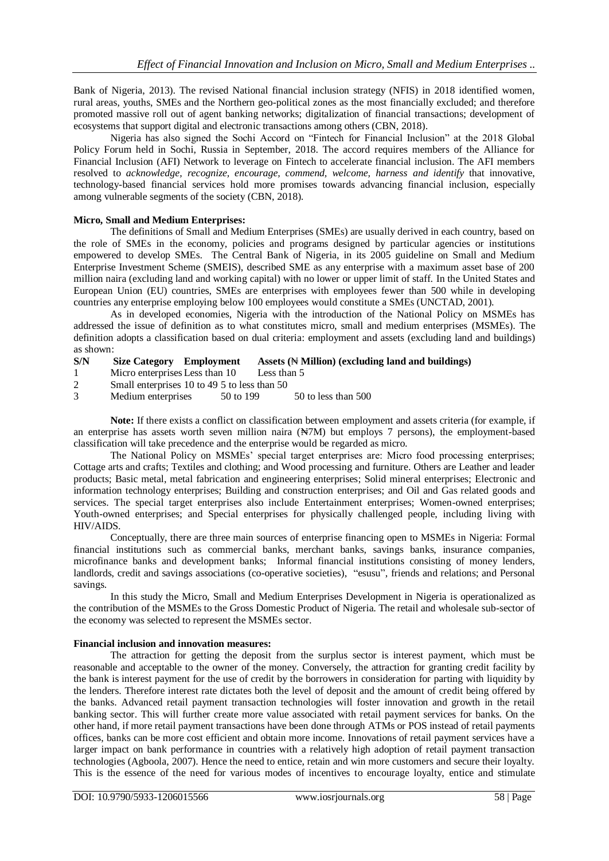Bank of Nigeria, 2013). The revised National financial inclusion strategy (NFIS) in 2018 identified women, rural areas, youths, SMEs and the Northern geo-political zones as the most financially excluded; and therefore promoted massive roll out of agent banking networks; digitalization of financial transactions; development of ecosystems that support digital and electronic transactions among others (CBN, 2018).

Nigeria has also signed the Sochi Accord on "Fintech for Financial Inclusion" at the 2018 Global Policy Forum held in Sochi, Russia in September, 2018. The accord requires members of the Alliance for Financial Inclusion (AFI) Network to leverage on Fintech to accelerate financial inclusion. The AFI members resolved to *acknowledge, recognize, encourage, commend, welcome, harness and identify* that innovative, technology-based financial services hold more promises towards advancing financial inclusion, especially among vulnerable segments of the society (CBN, 2018).

## **Micro, Small and Medium Enterprises:**

The definitions of Small and Medium Enterprises (SMEs) are usually derived in each country, based on the role of SMEs in the economy, policies and programs designed by particular agencies or institutions empowered to develop SMEs. The Central Bank of Nigeria, in its 2005 guideline on Small and Medium Enterprise Investment Scheme (SMEIS), described SME as any enterprise with a maximum asset base of 200 million naira (excluding land and working capital) with no lower or upper limit of staff. In the United States and European Union (EU) countries, SMEs are enterprises with employees fewer than 500 while in developing countries any enterprise employing below 100 employees would constitute a SMEs (UNCTAD, 2001).

As in developed economies, Nigeria with the introduction of the National Policy on MSMEs has addressed the issue of definition as to what constitutes micro, small and medium enterprises (MSMEs). The definition adopts a classification based on dual criteria: employment and assets (excluding land and buildings) as shown:

- **S/N Size Category Employment Assets (**₦ **Million) (excluding land and buildings)**
- 1 Micro enterprises Less than 10 Less than 5
- 2 Small enterprises 10 to 49 5 to less than 50

3 Medium enterprises 50 to 199 50 to less than 500

**Note:** If there exists a conflict on classification between employment and assets criteria (for example, if an enterprise has assets worth seven million naira (₦7M) but employs 7 persons), the employment-based classification will take precedence and the enterprise would be regarded as micro.

The National Policy on MSMEs' special target enterprises are: Micro food processing enterprises; Cottage arts and crafts; Textiles and clothing; and Wood processing and furniture. Others are Leather and leader products; Basic metal, metal fabrication and engineering enterprises; Solid mineral enterprises; Electronic and information technology enterprises; Building and construction enterprises; and Oil and Gas related goods and services. The special target enterprises also include Entertainment enterprises; Women-owned enterprises; Youth-owned enterprises; and Special enterprises for physically challenged people, including living with HIV/AIDS.

Conceptually, there are three main sources of enterprise financing open to MSMEs in Nigeria: Formal financial institutions such as commercial banks, merchant banks, savings banks, insurance companies, microfinance banks and development banks; Informal financial institutions consisting of money lenders, landlords, credit and savings associations (co-operative societies), "esusu", friends and relations; and Personal savings.

In this study the Micro, Small and Medium Enterprises Development in Nigeria is operationalized as the contribution of the MSMEs to the Gross Domestic Product of Nigeria. The retail and wholesale sub-sector of the economy was selected to represent the MSMEs sector.

#### **Financial inclusion and innovation measures:**

The attraction for getting the deposit from the surplus sector is interest payment, which must be reasonable and acceptable to the owner of the money. Conversely, the attraction for granting credit facility by the bank is interest payment for the use of credit by the borrowers in consideration for parting with liquidity by the lenders. Therefore interest rate dictates both the level of deposit and the amount of credit being offered by the banks. Advanced retail payment transaction technologies will foster innovation and growth in the retail banking sector. This will further create more value associated with retail payment services for banks. On the other hand, if more retail payment transactions have been done through ATMs or POS instead of retail payments offices, banks can be more cost efficient and obtain more income. Innovations of retail payment services have a larger impact on bank performance in countries with a relatively high adoption of retail payment transaction technologies (Agboola, 2007). Hence the need to entice, retain and win more customers and secure their loyalty. This is the essence of the need for various modes of incentives to encourage loyalty, entice and stimulate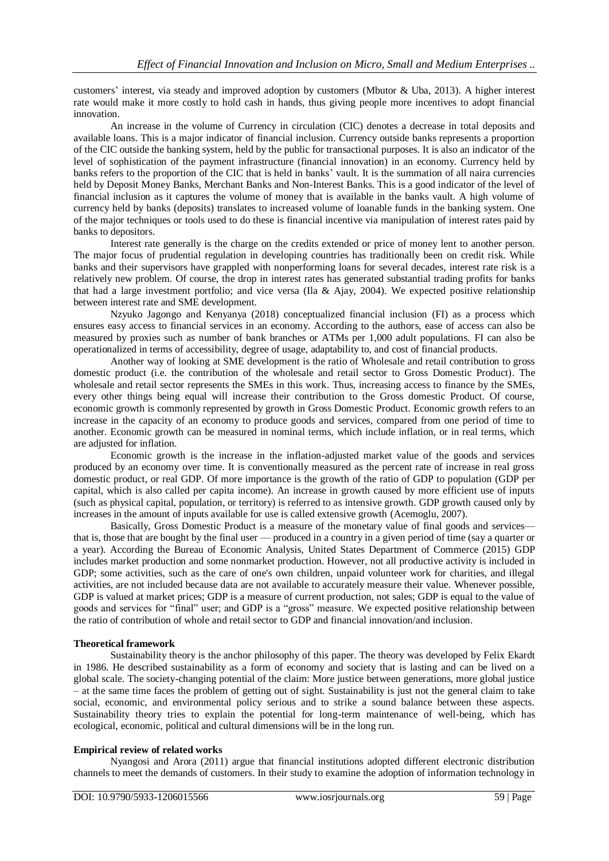customers' interest, via steady and improved adoption by customers (Mbutor & Uba, 2013). A higher interest rate would make it more costly to hold cash in hands, thus giving people more incentives to adopt financial innovation.

An increase in the volume of Currency in circulation (CIC) denotes a decrease in total deposits and available loans. This is a major indicator of financial inclusion. Currency outside banks represents a proportion of the CIC outside the banking system, held by the public for transactional purposes. It is also an indicator of the level of sophistication of the payment infrastructure (financial innovation) in an economy. Currency held by banks refers to the proportion of the CIC that is held in banks' vault. It is the summation of all naira currencies held by Deposit Money Banks, Merchant Banks and Non-Interest Banks. This is a good indicator of the level of financial inclusion as it captures the volume of money that is available in the banks vault. A high volume of currency held by banks (deposits) translates to increased volume of loanable funds in the banking system. One of the major techniques or tools used to do these is financial incentive via manipulation of interest rates paid by banks to depositors.

Interest rate generally is the charge on the credits extended or price of money lent to another person. The major focus of prudential regulation in developing countries has traditionally been on credit risk. While banks and their supervisors have grappled with nonperforming loans for several decades, interest rate risk is a relatively new problem. Of course, the drop in interest rates has generated substantial trading profits for banks that had a large investment portfolio; and vice versa (Ila & Ajay, 2004). We expected positive relationship between interest rate and SME development.

Nzyuko Jagongo and Kenyanya (2018) conceptualized financial inclusion (FI) as a process which ensures easy access to financial services in an economy. According to the authors, ease of access can also be measured by proxies such as number of bank branches or ATMs per 1,000 adult populations. FI can also be operationalized in terms of accessibility, degree of usage, adaptability to, and cost of financial products.

Another way of looking at SME development is the ratio of Wholesale and retail contribution to gross domestic product (i.e. the contribution of the wholesale and retail sector to Gross Domestic Product). The wholesale and retail sector represents the SMEs in this work. Thus, increasing access to finance by the SMEs, every other things being equal will increase their contribution to the Gross domestic Product. Of course, economic growth is commonly represented by growth in Gross Domestic Product. Economic growth refers to an increase in the capacity of an economy to produce goods and services, compared from one period of time to another. Economic growth can be measured in nominal terms, which include inflation, or in real terms, which are adjusted for inflation.

Economic growth is the increase in the inflation-adjusted market value of the goods and services produced by an economy over time. It is conventionally measured as the percent rate of increase in real gross domestic product, or real GDP. Of more importance is the growth of the ratio of GDP to population (GDP per capital, which is also called per capita income). An increase in growth caused by more efficient use of inputs (such as physical capital, population, or territory) is referred to as intensive growth. GDP growth caused only by increases in the amount of inputs available for use is called extensive growth (Acemoglu, 2007).

Basically, Gross Domestic Product is a measure of the monetary value of final goods and services that is, those that are bought by the final user — produced in a country in a given period of time (say a quarter or a year). According the Bureau of Economic Analysis, United States Department of Commerce (2015) GDP includes market production and some nonmarket production. However, not all productive activity is included in GDP; some activities, such as the care of one's own children, unpaid volunteer work for charities, and illegal activities, are not included because data are not available to accurately measure their value. Whenever possible, GDP is valued at market prices; GDP is a measure of current production, not sales; GDP is equal to the value of goods and services for "final" user; and GDP is a "gross" measure. We expected positive relationship between the ratio of contribution of whole and retail sector to GDP and financial innovation/and inclusion.

## **Theoretical framework**

Sustainability theory is the anchor philosophy of this paper. The theory was developed by Felix Ekardt in 1986. He described sustainability as a form of economy and society that is lasting and can be lived on a global scale. The society-changing potential of the claim: More justice between generations, more global justice – at the same time faces the problem of getting out of sight. Sustainability is just not the general claim to take social, economic, and environmental policy serious and to strike a sound balance between these aspects. Sustainability theory tries to explain the potential for long-term maintenance of well-being, which has ecological, economic, political and cultural dimensions will be in the long run.

## **Empirical review of related works**

Nyangosi and Arora (2011) argue that financial institutions adopted different electronic distribution channels to meet the demands of customers. In their study to examine the adoption of information technology in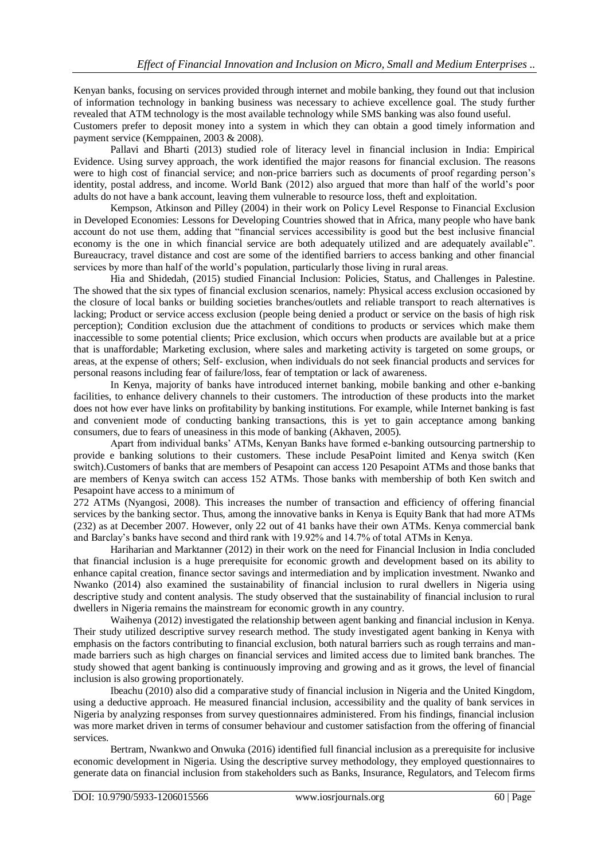Kenyan banks, focusing on services provided through internet and mobile banking, they found out that inclusion of information technology in banking business was necessary to achieve excellence goal. The study further revealed that ATM technology is the most available technology while SMS banking was also found useful.

Customers prefer to deposit money into a system in which they can obtain a good timely information and payment service (Kemppainen, 2003 & 2008).

Pallavi and Bharti (2013) studied role of literacy level in financial inclusion in India: Empirical Evidence. Using survey approach, the work identified the major reasons for financial exclusion. The reasons were to high cost of financial service; and non-price barriers such as documents of proof regarding person's identity, postal address, and income. World Bank (2012) also argued that more than half of the world's poor adults do not have a bank account, leaving them vulnerable to resource loss, theft and exploitation.

Kempson, Atkinson and Pilley (2004) in their work on Policy Level Response to Financial Exclusion in Developed Economies: Lessons for Developing Countries showed that in Africa, many people who have bank account do not use them, adding that "financial services accessibility is good but the best inclusive financial economy is the one in which financial service are both adequately utilized and are adequately available". Bureaucracy, travel distance and cost are some of the identified barriers to access banking and other financial services by more than half of the world's population, particularly those living in rural areas.

Hia and Shidedah, (2015) studied Financial Inclusion: Policies, Status, and Challenges in Palestine. The showed that the six types of financial exclusion scenarios, namely: Physical access exclusion occasioned by the closure of local banks or building societies branches/outlets and reliable transport to reach alternatives is lacking; Product or service access exclusion (people being denied a product or service on the basis of high risk perception); Condition exclusion due the attachment of conditions to products or services which make them inaccessible to some potential clients; Price exclusion, which occurs when products are available but at a price that is unaffordable; Marketing exclusion, where sales and marketing activity is targeted on some groups, or areas, at the expense of others; Self- exclusion, when individuals do not seek financial products and services for personal reasons including fear of failure/loss, fear of temptation or lack of awareness.

In Kenya, majority of banks have introduced internet banking, mobile banking and other e-banking facilities, to enhance delivery channels to their customers. The introduction of these products into the market does not how ever have links on profitability by banking institutions. For example, while Internet banking is fast and convenient mode of conducting banking transactions, this is yet to gain acceptance among banking consumers, due to fears of uneasiness in this mode of banking (Akhaven, 2005).

Apart from individual banks' ATMs, Kenyan Banks have formed e-banking outsourcing partnership to provide e banking solutions to their customers. These include PesaPoint limited and Kenya switch (Ken switch).Customers of banks that are members of Pesapoint can access 120 Pesapoint ATMs and those banks that are members of Kenya switch can access 152 ATMs. Those banks with membership of both Ken switch and Pesapoint have access to a minimum of

272 ATMs (Nyangosi, 2008). This increases the number of transaction and efficiency of offering financial services by the banking sector. Thus, among the innovative banks in Kenya is Equity Bank that had more ATMs (232) as at December 2007. However, only 22 out of 41 banks have their own ATMs. Kenya commercial bank and Barclay's banks have second and third rank with 19.92% and 14.7% of total ATMs in Kenya.

Hariharian and Marktanner (2012) in their work on the need for Financial Inclusion in India concluded that financial inclusion is a huge prerequisite for economic growth and development based on its ability to enhance capital creation, finance sector savings and intermediation and by implication investment. Nwanko and Nwanko (2014) also examined the sustainability of financial inclusion to rural dwellers in Nigeria using descriptive study and content analysis. The study observed that the sustainability of financial inclusion to rural dwellers in Nigeria remains the mainstream for economic growth in any country.

Waihenya (2012) investigated the relationship between agent banking and financial inclusion in Kenya. Their study utilized descriptive survey research method. The study investigated agent banking in Kenya with emphasis on the factors contributing to financial exclusion, both natural barriers such as rough terrains and manmade barriers such as high charges on financial services and limited access due to limited bank branches. The study showed that agent banking is continuously improving and growing and as it grows, the level of financial inclusion is also growing proportionately.

Ibeachu (2010) also did a comparative study of financial inclusion in Nigeria and the United Kingdom, using a deductive approach. He measured financial inclusion, accessibility and the quality of bank services in Nigeria by analyzing responses from survey questionnaires administered. From his findings, financial inclusion was more market driven in terms of consumer behaviour and customer satisfaction from the offering of financial services.

Bertram, Nwankwo and Onwuka (2016) identified full financial inclusion as a prerequisite for inclusive economic development in Nigeria. Using the descriptive survey methodology, they employed questionnaires to generate data on financial inclusion from stakeholders such as Banks, Insurance, Regulators, and Telecom firms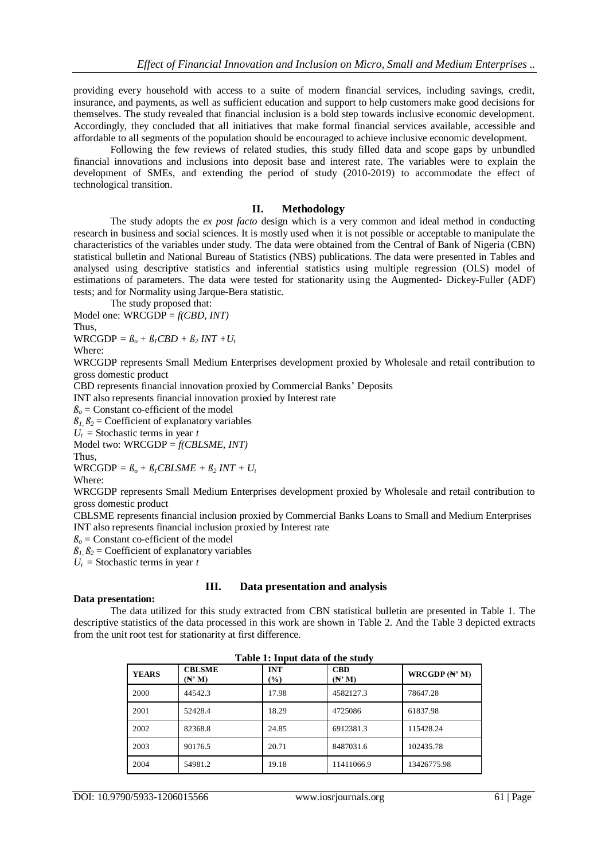providing every household with access to a suite of modern financial services, including savings, credit, insurance, and payments, as well as sufficient education and support to help customers make good decisions for themselves. The study revealed that financial inclusion is a bold step towards inclusive economic development. Accordingly, they concluded that all initiatives that make formal financial services available, accessible and affordable to all segments of the population should be encouraged to achieve inclusive economic development.

Following the few reviews of related studies, this study filled data and scope gaps by unbundled financial innovations and inclusions into deposit base and interest rate. The variables were to explain the development of SMEs, and extending the period of study (2010-2019) to accommodate the effect of technological transition.

#### **II. Methodology**

The study adopts the *ex post facto* design which is a very common and ideal method in conducting research in business and social sciences. It is mostly used when it is not possible or acceptable to manipulate the characteristics of the variables under study. The data were obtained from the Central of Bank of Nigeria (CBN) statistical bulletin and National Bureau of Statistics (NBS) publications. The data were presented in Tables and analysed using descriptive statistics and inferential statistics using multiple regression (OLS) model of estimations of parameters. The data were tested for stationarity using the Augmented- Dickey-Fuller (ADF) tests; and for Normality using Jarque-Bera statistic.

The study proposed that:

Model one: WRCGDP = *f(CBD, INT)* Thus,

 $WRCGDP = \beta_o + \beta_1 CBD + \beta_2 INT + U_t$ Where:

WRCGDP represents Small Medium Enterprises development proxied by Wholesale and retail contribution to gross domestic product

CBD represents financial innovation proxied by Commercial Banks' Deposits

INT also represents financial innovation proxied by Interest rate

 $\beta$ <sup> $\alpha$ </sup> = Constant co-efficient of the model

 $\beta_1, \beta_2$  = Coefficient of explanatory variables

 $U_t$  = Stochastic terms in year *t* 

Model two: WRCGDP = *f(CBLSME, INT)* Thus,

 $WRCGDP = \beta_o + \beta_I CBLSME + \beta_2 INT + U_t$ 

Where:

WRCGDP represents Small Medium Enterprises development proxied by Wholesale and retail contribution to gross domestic product

CBLSME represents financial inclusion proxied by Commercial Banks Loans to Small and Medium Enterprises INT also represents financial inclusion proxied by Interest rate

 $\beta$ <sup>*o*</sup> = Constant co-efficient of the model

 $\beta_1$ ,  $\beta_2$  = Coefficient of explanatory variables

 $U_t$  = Stochastic terms in year *t* 

## **III. Data presentation and analysis**

#### **Data presentation:**

The data utilized for this study extracted from CBN statistical bulletin are presented in Table 1. The descriptive statistics of the data processed in this work are shown in Table 2. And the Table 3 depicted extracts from the unit root test for stationarity at first difference.

| Table 1; Imput data of the study |                                    |                   |                      |                 |  |  |
|----------------------------------|------------------------------------|-------------------|----------------------|-----------------|--|--|
| <b>YEARS</b>                     | <b>CBLSME</b><br>$(A^{\prime}, M)$ | <b>INT</b><br>(%) | <b>CBD</b><br>(N' M) | WRCGDP $(N' M)$ |  |  |
| 2000                             | 44542.3                            | 17.98             | 4582127.3            | 78647.28        |  |  |
| 2001                             | 52428.4                            | 18.29             | 4725086              | 61837.98        |  |  |
| 2002                             | 82368.8                            | 24.85             | 6912381.3            | 115428.24       |  |  |
| 2003                             | 90176.5                            | 20.71             | 8487031.6            | 102435.78       |  |  |
| 2004                             | 54981.2                            | 19.18             | 11411066.9           | 13426775.98     |  |  |

**Table 1: Input data of the study**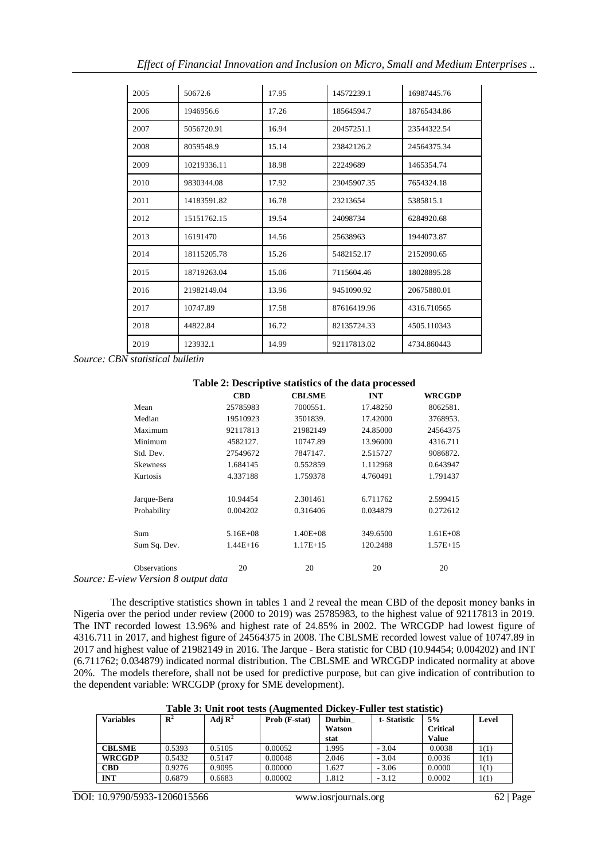|  | Effect of Financial Innovation and Inclusion on Micro, Small and Medium Enterprises |  |  |
|--|-------------------------------------------------------------------------------------|--|--|
|  |                                                                                     |  |  |

| 2005 | 50672.6     | 17.95 | 14572239.1  | 16987445.76 |
|------|-------------|-------|-------------|-------------|
| 2006 | 1946956.6   | 17.26 | 18564594.7  | 18765434.86 |
| 2007 | 5056720.91  | 16.94 | 20457251.1  | 23544322.54 |
| 2008 | 8059548.9   | 15.14 | 23842126.2  | 24564375.34 |
| 2009 | 10219336.11 | 18.98 | 22249689    | 1465354.74  |
| 2010 | 9830344.08  | 17.92 | 23045907.35 | 7654324.18  |
| 2011 | 14183591.82 | 16.78 | 23213654    | 5385815.1   |
| 2012 | 15151762.15 | 19.54 | 24098734    | 6284920.68  |
| 2013 | 16191470    | 14.56 | 25638963    | 1944073.87  |
| 2014 | 18115205.78 | 15.26 | 5482152.17  | 2152090.65  |
| 2015 | 18719263.04 | 15.06 | 7115604.46  | 18028895.28 |
| 2016 | 21982149.04 | 13.96 | 9451090.92  | 20675880.01 |
| 2017 | 10747.89    | 17.58 | 87616419.96 | 4316.710565 |
| 2018 | 44822.84    | 16.72 | 82135724.33 | 4505.110343 |
| 2019 | 123932.1    | 14.99 | 92117813.02 | 4734.860443 |

*Source: CBN statistical bulletin*

#### **Table 2: Descriptive statistics of the data processed**

|                     | <b>CBD</b>   | <b>CBLSME</b> | <b>INT</b> | WRCGDP       |
|---------------------|--------------|---------------|------------|--------------|
| Mean                | 25785983     | 7000551.      | 17.48250   | 8062581.     |
| Median              | 19510923     | 3501839.      | 17.42000   | 3768953.     |
| Maximum             | 92117813     | 21982149      | 24.85000   | 24564375     |
| Minimum             | 4582127.     | 10747.89      | 13.96000   | 4316.711     |
| Std. Dev.           | 27549672     | 7847147.      | 2.515727   | 9086872.     |
| <b>Skewness</b>     | 1.684145     | 0.552859      | 1.112968   | 0.643947     |
| Kurtosis            | 4.337188     | 1.759378      | 4.760491   | 1.791437     |
| Jarque-Bera         | 10.94454     | 2.301461      | 6.711762   | 2.599415     |
| Probability         | 0.004202     | 0.316406      | 0.034879   | 0.272612     |
| Sum                 | $5.16E + 08$ | $1.40E + 08$  | 349.6500   | $1.61E + 08$ |
| Sum Sq. Dev.        | $1.44E+16$   | $1.17E+15$    | 120.2488   | $1.57E+15$   |
| <b>Observations</b> | 20           | 20            | 20         | 20           |
|                     |              |               |            |              |

*Source: E-view Version 8 output data*

The descriptive statistics shown in tables 1 and 2 reveal the mean CBD of the deposit money banks in Nigeria over the period under review (2000 to 2019) was 25785983, to the highest value of 92117813 in 2019. The INT recorded lowest 13.96% and highest rate of 24.85% in 2002. The WRCGDP had lowest figure of 4316.711 in 2017, and highest figure of 24564375 in 2008. The CBLSME recorded lowest value of 10747.89 in 2017 and highest value of 21982149 in 2016. The Jarque - Bera statistic for CBD (10.94454; 0.004202) and INT (6.711762; 0.034879) indicated normal distribution. The CBLSME and WRCGDP indicated normality at above 20%. The models therefore, shall not be used for predictive purpose, but can give indication of contribution to the dependent variable: WRCGDP (proxy for SME development).

**Table 3: Unit root tests (Augmented Dickey-Fuller test statistic)**

| <b>Variables</b> | $\mathbf{R}^2$ | Adj $\mathbf{R}^2$ | Prob (F-stat) | Durbin | t-Statistic | 5%              | Level |
|------------------|----------------|--------------------|---------------|--------|-------------|-----------------|-------|
|                  |                |                    |               | Watson |             | <b>Critical</b> |       |
|                  |                |                    |               | stat   |             | Value           |       |
| <b>CBLSME</b>    | 0.5393         | 0.5105             | 0.00052       | 1.995  | $-3.04$     | 0.0038          | 1(1)  |
| <b>WRCGDP</b>    | 0.5432         | 0.5147             | 0.00048       | 2.046  | $-3.04$     | 0.0036          | 1(1)  |
| <b>CBD</b>       | 0.9276         | 0.9095             | 0.00000       | 1.627  | $-3.06$     | 0.0000          | 1(1)  |
| <b>INT</b>       | 0.6879         | 0.6683             | 0.00002       | 1.812  | $-3.12$     | 0.0002          | 1(1)  |

DOI: 10.9790/5933-1206015566 www.iosrjournals.org 62 | Page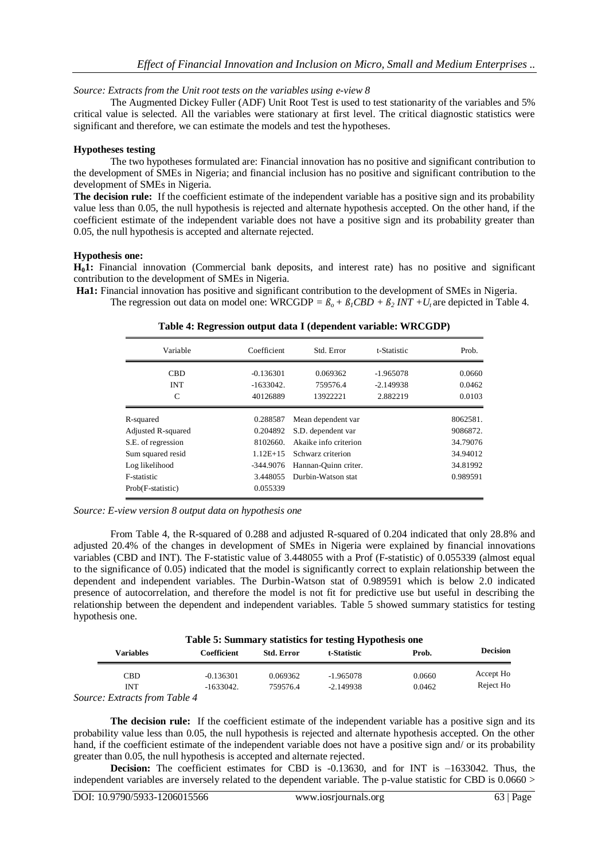*Source: Extracts from the Unit root tests on the variables using e-view 8*

The Augmented Dickey Fuller (ADF) Unit Root Test is used to test stationarity of the variables and 5% critical value is selected. All the variables were stationary at first level. The critical diagnostic statistics were significant and therefore, we can estimate the models and test the hypotheses.

#### **Hypotheses testing**

The two hypotheses formulated are: Financial innovation has no positive and significant contribution to the development of SMEs in Nigeria; and financial inclusion has no positive and significant contribution to the development of SMEs in Nigeria.

**The decision rule:** If the coefficient estimate of the independent variable has a positive sign and its probability value less than 0.05, the null hypothesis is rejected and alternate hypothesis accepted. On the other hand, if the coefficient estimate of the independent variable does not have a positive sign and its probability greater than 0.05, the null hypothesis is accepted and alternate rejected.

#### **Hypothesis one:**

**H01:** Financial innovation (Commercial bank deposits, and interest rate) has no positive and significant contribution to the development of SMEs in Nigeria.

**Ha1:** Financial innovation has positive and significant contribution to the development of SMEs in Nigeria. The regression out data on model one: WRCGDP =  $\beta_o + \beta_i CBD + \beta_2 INT + U_i$  are depicted in Table 4.

| Variable                        | Coefficient | Std. Error            | t-Statistic | Prob.    |
|---------------------------------|-------------|-----------------------|-------------|----------|
| <b>CBD</b>                      | $-0.136301$ | 0.069362              | $-1.965078$ | 0.0660   |
| <b>INT</b>                      | $-1633042.$ | 759576.4              | $-2.149938$ | 0.0462   |
| C                               | 40126889    | 13922221              | 2.882219    | 0.0103   |
| R-squared                       | 0.288587    | Mean dependent var    |             | 8062581. |
| <b>Adjusted R-squared</b>       | 0.204892    | S.D. dependent var    |             | 9086872. |
| S.E. of regression              | 8102660.    | Akaike info criterion |             | 34.79076 |
| Sum squared resid<br>$1.12E+15$ |             | Schwarz criterion     | 34.94012    |          |
| Log likelihood                  | $-344.9076$ | Hannan-Quinn criter.  |             | 34.81992 |
| F-statistic                     | 3.448055    | Durbin-Watson stat    |             | 0.989591 |
| Prob(F-statistic)               | 0.055339    |                       |             |          |

**Table 4: Regression output data I (dependent variable: WRCGDP)**

*Source: E-view version 8 output data on hypothesis one* 

From Table 4, the R-squared of 0.288 and adjusted R-squared of 0.204 indicated that only 28.8% and adjusted 20.4% of the changes in development of SMEs in Nigeria were explained by financial innovations variables (CBD and INT). The F-statistic value of 3.448055 with a Prof (F-statistic) of 0.055339 (almost equal to the significance of 0.05) indicated that the model is significantly correct to explain relationship between the dependent and independent variables. The Durbin-Watson stat of 0.989591 which is below 2.0 indicated presence of autocorrelation, and therefore the model is not fit for predictive use but useful in describing the relationship between the dependent and independent variables. Table 5 showed summary statistics for testing hypothesis one.

| Table 5: Summary statistics for testing Hypothesis one |             |                   |             |        |                 |  |  |
|--------------------------------------------------------|-------------|-------------------|-------------|--------|-----------------|--|--|
| Variables                                              | Coefficient | <b>Std. Error</b> | t-Statistic | Prob.  | <b>Decision</b> |  |  |
| CBD                                                    | $-0.136301$ | 0.069362          | -1.965078   | 0.0660 | Accept Ho       |  |  |
| <b>INT</b>                                             | $-1633042.$ | 759576.4          | $-2.149938$ | 0.0462 | Reject Ho       |  |  |
| Source: Extracts from Table 4                          |             |                   |             |        |                 |  |  |

**The decision rule:** If the coefficient estimate of the independent variable has a positive sign and its probability value less than 0.05, the null hypothesis is rejected and alternate hypothesis accepted. On the other hand, if the coefficient estimate of the independent variable does not have a positive sign and/ or its probability greater than 0.05, the null hypothesis is accepted and alternate rejected.

**Decision:** The coefficient estimates for CBD is -0.13630, and for INT is -1633042. Thus, the independent variables are inversely related to the dependent variable. The p-value statistic for CBD is 0.0660 >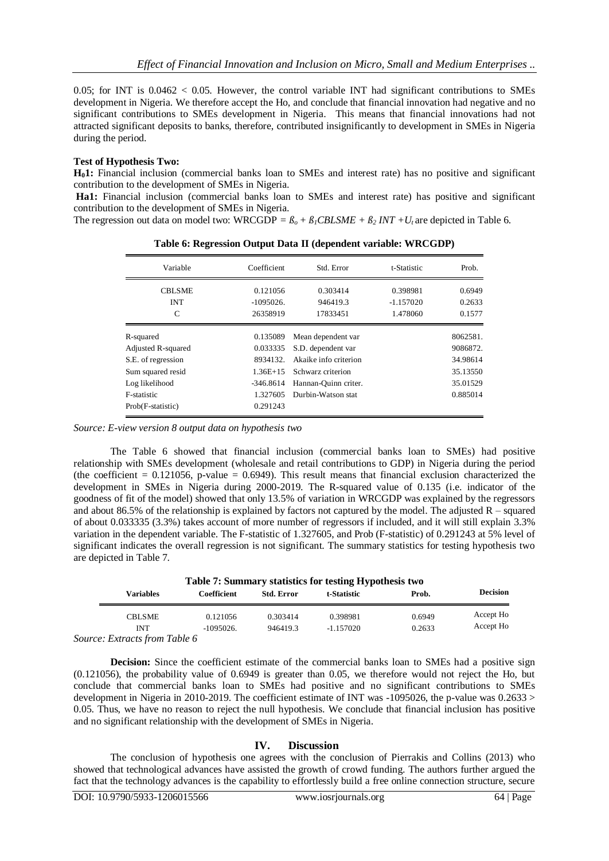0.05; for INT is  $0.0462 < 0.05$ . However, the control variable INT had significant contributions to SMEs development in Nigeria. We therefore accept the Ho, and conclude that financial innovation had negative and no significant contributions to SMEs development in Nigeria. This means that financial innovations had not attracted significant deposits to banks, therefore, contributed insignificantly to development in SMEs in Nigeria during the period.

#### **Test of Hypothesis Two:**

**H01:** Financial inclusion (commercial banks loan to SMEs and interest rate) has no positive and significant contribution to the development of SMEs in Nigeria.

**Ha1:** Financial inclusion (commercial banks loan to SMEs and interest rate) has positive and significant contribution to the development of SMEs in Nigeria.

The regression out data on model two: WRCGDP =  $\beta_0 + \beta_1$ *CBLSME* +  $\beta_2$ *INT* +*Ut* are depicted in Table 6.

| Variable                | Coefficient | Std. Error                        | t-Statistic | Prob.    |
|-------------------------|-------------|-----------------------------------|-------------|----------|
| <b>CBLSME</b>           | 0.121056    | 0.303414                          | 0.398981    | 0.6949   |
| <b>INT</b>              | $-1095026.$ | 946419.3                          | $-1.157020$ | 0.2633   |
| C                       | 26358919    | 17833451                          | 1.478060    | 0.1577   |
| R-squared               | 0.135089    | Mean dependent var                |             | 8062581. |
| Adjusted R-squared      | 0.033335    | S.D. dependent var                |             | 9086872. |
| S.E. of regression      | 8934132.    | Akaike info criterion<br>34.98614 |             |          |
| Sum squared resid       | $1.36E+15$  | Schwarz criterion                 |             | 35.13550 |
| Log likelihood          | $-346.8614$ | Hannan-Quinn criter.              |             | 35.01529 |
| F-statistic<br>1.327605 |             | Durbin-Watson stat                |             | 0.885014 |
| Prob(F-statistic)       | 0.291243    |                                   |             |          |

**Table 6: Regression Output Data II (dependent variable: WRCGDP)**

*Source: E-view version 8 output data on hypothesis two* 

The Table 6 showed that financial inclusion (commercial banks loan to SMEs) had positive relationship with SMEs development (wholesale and retail contributions to GDP) in Nigeria during the period (the coefficient =  $0.121056$ , p-value =  $0.6949$ ). This result means that financial exclusion characterized the development in SMEs in Nigeria during 2000-2019. The R-squared value of 0.135 (i.e. indicator of the goodness of fit of the model) showed that only 13.5% of variation in WRCGDP was explained by the regressors and about 86.5% of the relationship is explained by factors not captured by the model. The adjusted  $R$  – squared of about 0.033335 (3.3%) takes account of more number of regressors if included, and it will still explain 3.3% variation in the dependent variable. The F-statistic of 1.327605, and Prob (F-statistic) of 0.291243 at 5% level of significant indicates the overall regression is not significant. The summary statistics for testing hypothesis two are depicted in Table 7.

| Table 7: Summary statistics for testing Hypothesis two |             |            |             |        |                 |  |
|--------------------------------------------------------|-------------|------------|-------------|--------|-----------------|--|
| Variables                                              | Coefficient | Std. Error | t-Statistic | Prob.  | <b>Decision</b> |  |
| <b>CBLSME</b>                                          | 0.121056    | 0.303414   | 0.398981    | 0.6949 | Accept Ho       |  |
| INT                                                    | $-1095026.$ | 946419.3   | $-1.157020$ | 0.2633 | Accept Ho       |  |
| Source: Extracts from Table 6                          |             |            |             |        |                 |  |

**Decision:** Since the coefficient estimate of the commercial banks loan to SMEs had a positive sign (0.121056), the probability value of 0.6949 is greater than 0.05, we therefore would not reject the Ho, but conclude that commercial banks loan to SMEs had positive and no significant contributions to SMEs development in Nigeria in 2010-2019. The coefficient estimate of INT was -1095026, the p-value was 0.2633 > 0.05. Thus, we have no reason to reject the null hypothesis. We conclude that financial inclusion has positive and no significant relationship with the development of SMEs in Nigeria.

## **IV. Discussion**

The conclusion of hypothesis one agrees with the conclusion of Pierrakis and Collins (2013) who showed that technological advances have assisted the growth of crowd funding. The authors further argued the fact that the technology advances is the capability to effortlessly build a free online connection structure, secure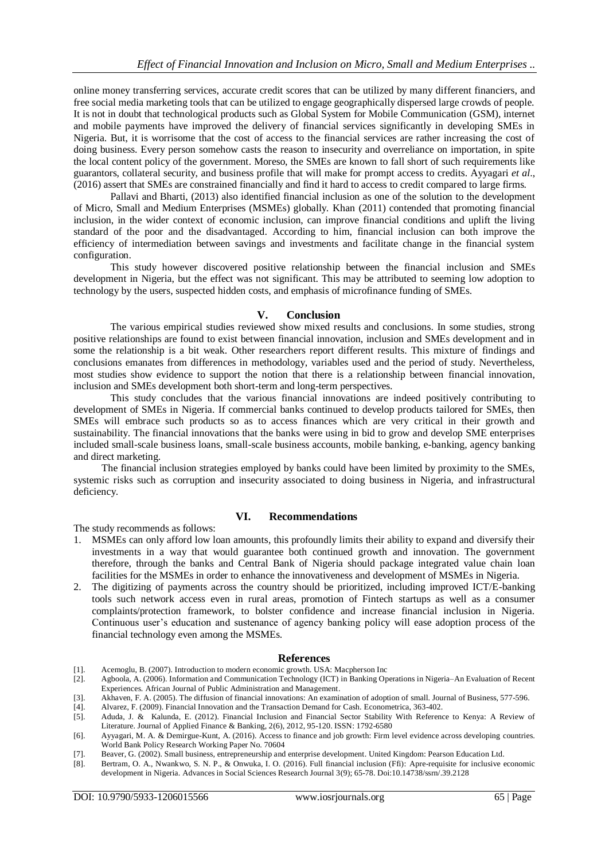online money transferring services, accurate credit scores that can be utilized by many different financiers, and free social media marketing tools that can be utilized to engage geographically dispersed large crowds of people. It is not in doubt that technological products such as Global System for Mobile Communication (GSM), internet and mobile payments have improved the delivery of financial services significantly in developing SMEs in Nigeria. But, it is worrisome that the cost of access to the financial services are rather increasing the cost of doing business. Every person somehow casts the reason to insecurity and overreliance on importation, in spite the local content policy of the government. Moreso, the SMEs are known to fall short of such requirements like guarantors, collateral security, and business profile that will make for prompt access to credits. Ayyagari *et al*., (2016) assert that SMEs are constrained financially and find it hard to access to credit compared to large firms.

Pallavi and Bharti, (2013) also identified financial inclusion as one of the solution to the development of Micro, Small and Medium Enterprises (MSMEs) globally. Khan (2011) contended that promoting financial inclusion, in the wider context of economic inclusion, can improve financial conditions and uplift the living standard of the poor and the disadvantaged. According to him, financial inclusion can both improve the efficiency of intermediation between savings and investments and facilitate change in the financial system configuration.

This study however discovered positive relationship between the financial inclusion and SMEs development in Nigeria, but the effect was not significant. This may be attributed to seeming low adoption to technology by the users, suspected hidden costs, and emphasis of microfinance funding of SMEs.

#### **V. Conclusion**

The various empirical studies reviewed show mixed results and conclusions. In some studies, strong positive relationships are found to exist between financial innovation, inclusion and SMEs development and in some the relationship is a bit weak. Other researchers report different results. This mixture of findings and conclusions emanates from differences in methodology, variables used and the period of study. Nevertheless, most studies show evidence to support the notion that there is a relationship between financial innovation, inclusion and SMEs development both short-term and long-term perspectives.

This study concludes that the various financial innovations are indeed positively contributing to development of SMEs in Nigeria. If commercial banks continued to develop products tailored for SMEs, then SMEs will embrace such products so as to access finances which are very critical in their growth and sustainability. The financial innovations that the banks were using in bid to grow and develop SME enterprises included small-scale business loans, small-scale business accounts, mobile banking, e-banking, agency banking and direct marketing.

 The financial inclusion strategies employed by banks could have been limited by proximity to the SMEs, systemic risks such as corruption and insecurity associated to doing business in Nigeria, and infrastructural deficiency.

#### **VI. Recommendations**

The study recommends as follows:

- 1. MSMEs can only afford low loan amounts, this profoundly limits their ability to expand and diversify their investments in a way that would guarantee both continued growth and innovation. The government therefore, through the banks and Central Bank of Nigeria should package integrated value chain loan facilities for the MSMEs in order to enhance the innovativeness and development of MSMEs in Nigeria.
- 2. The digitizing of payments across the country should be prioritized, including improved ICT/E-banking tools such network access even in rural areas, promotion of Fintech startups as well as a consumer complaints/protection framework, to bolster confidence and increase financial inclusion in Nigeria. Continuous user's education and sustenance of agency banking policy will ease adoption process of the financial technology even among the MSMEs.

#### **References**

- [1]. Acemoglu, B. (2007). Introduction to modern economic growth. USA: Macpherson Inc
- [2]. Agboola, A. (2006). Information and Communication Technology (ICT) in Banking Operations in Nigeria–An Evaluation of Recent Experiences. African Journal of Public Administration and Management.
- [3]. Akhaven, F. A. (2005). The diffusion of financial innovations: An examination of adoption of small. Journal of Business, 577-596.
- [4]. Alvarez, F. (2009). Financial Innovation and the Transaction Demand for Cash. Econometrica, 363-402.
- [5]. Aduda, J. & Kalunda, E. (2012). Financial Inclusion and Financial Sector Stability With Reference to Kenya: A Review of Literature. Journal of Applied Finance & Banking, 2(6), 2012, 95-120. ISSN: 1792-6580
- [6]. Ayyagari, M. A. & Demirgue-Kunt, A. (2016). Access to finance and job growth: Firm level evidence across developing countries. World Bank Policy Research Working Paper No. 70604
- [7]. Beaver, G. (2002). Small business, entrepreneurship and enterprise development. United Kingdom: Pearson Education Ltd.
- [8]. Bertram, O. A., Nwankwo, S. N. P., & Onwuka, I. O. (2016). Full financial inclusion (Ffi): Apre-requisite for inclusive economic development in Nigeria. Advances in Social Sciences Research Journal 3(9); 65-78. Doi:10.14738/ssrn/.39.2128